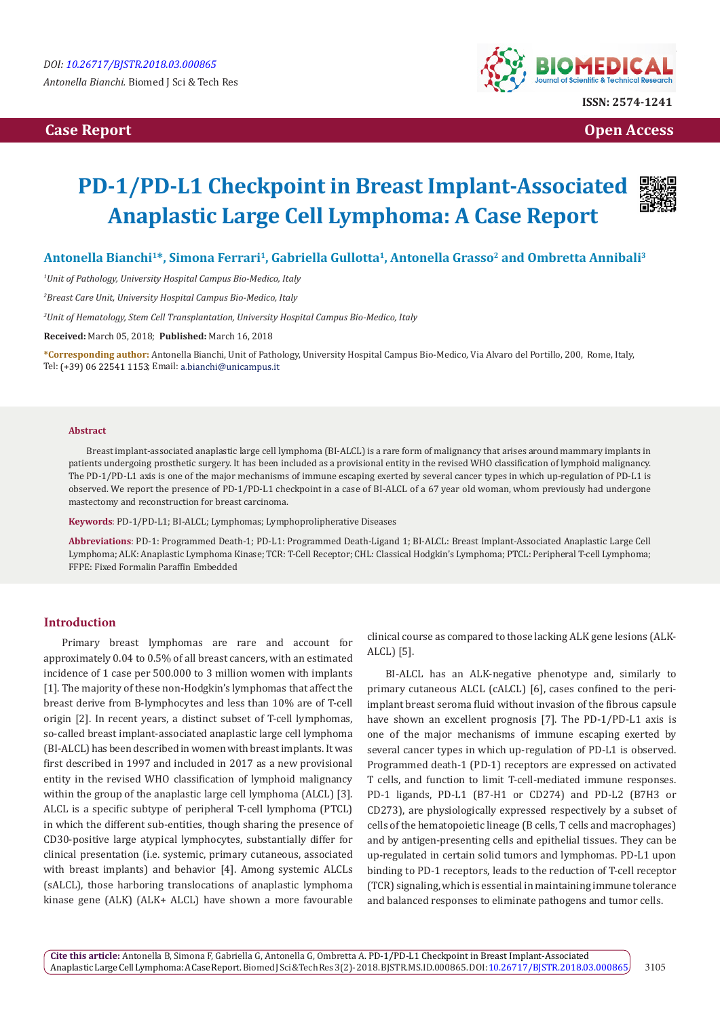# **Case Report Open Access**



# **PD-1/PD-L1 Checkpoint in Breast Implant-Associated Anaplastic Large Cell Lymphoma: A Case Report**



# Antonella Bianchi<sup>1\*</sup>, Simona Ferrari<sup>1</sup>, Gabriella Gullotta<sup>1</sup>, Antonella Grasso<sup>2</sup> and Ombretta Annibali<sup>3</sup>

*1 Unit of Pathology, University Hospital Campus Bio-Medico, Italy*

*2 Breast Care Unit, University Hospital Campus Bio-Medico, Italy*

*3 Unit of Hematology, Stem Cell Transplantation, University Hospital Campus Bio-Medico, Italy*

**Received:** March 05, 2018; **Published:** March 16, 2018

**\*Corresponding author:** Antonella Bianchi, Unit of Pathology, University Hospital Campus Bio-Medico, Via Alvaro del Portillo, 200, Rome, Italy, Tel: (+39) 06 22541 1153; Email: a.bianchi@unicampus.it

#### **Abstract**

Breast implant-associated anaplastic large cell lymphoma (BI-ALCL) is a rare form of malignancy that arises around mammary implants in patients undergoing prosthetic surgery. It has been included as a provisional entity in the revised WHO classification of lymphoid malignancy. The PD-1/PD-L1 axis is one of the major mechanisms of immune escaping exerted by several cancer types in which up-regulation of PD-L1 is observed. We report the presence of PD-1/PD-L1 checkpoint in a case of BI-ALCL of a 67 year old woman, whom previously had undergone mastectomy and reconstruction for breast carcinoma.

**Keywords**: PD-1/PD-L1; BI-ALCL; Lymphomas; Lymphoprolipherative Diseases

**Abbreviations**: PD-1: Programmed Death-1; PD-L1: Programmed Death-Ligand 1; BI-ALCL: Breast Implant-Associated Anaplastic Large Cell Lymphoma; ALK: Anaplastic Lymphoma Kinase; TCR: T-Cell Receptor; CHL: Classical Hodgkin's Lymphoma; PTCL: Peripheral T-cell Lymphoma; FFPE: Fixed Formalin Paraffin Embedded

## **Introduction**

Primary breast lymphomas are rare and account for approximately 0.04 to 0.5% of all breast cancers, with an estimated incidence of 1 case per 500.000 to 3 million women with implants [1]. The majority of these non-Hodgkin's lymphomas that affect the breast derive from B-lymphocytes and less than 10% are of T-cell origin [2]. In recent years, a distinct subset of T-cell lymphomas, so-called breast implant-associated anaplastic large cell lymphoma (BI-ALCL) has been described in women with breast implants. It was first described in 1997 and included in 2017 as a new provisional entity in the revised WHO classification of lymphoid malignancy within the group of the anaplastic large cell lymphoma (ALCL) [3]. ALCL is a specific subtype of peripheral T-cell lymphoma (PTCL) in which the different sub-entities, though sharing the presence of CD30-positive large atypical lymphocytes, substantially differ for clinical presentation (i.e. systemic, primary cutaneous, associated with breast implants) and behavior [4]. Among systemic ALCLs (sALCL), those harboring translocations of anaplastic lymphoma kinase gene (ALK) (ALK+ ALCL) have shown a more favourable

clinical course as compared to those lacking ALK gene lesions (ALK-ALCL) [5].

BI-ALCL has an ALK-negative phenotype and, similarly to primary cutaneous ALCL (cALCL) [6], cases confined to the periimplant breast seroma fluid without invasion of the fibrous capsule have shown an excellent prognosis [7]. The PD-1/PD-L1 axis is one of the major mechanisms of immune escaping exerted by several cancer types in which up-regulation of PD-L1 is observed. Programmed death-1 (PD-1) receptors are expressed on activated T cells, and function to limit T-cell-mediated immune responses. PD-1 ligands, PD-L1 (B7-H1 or CD274) and PD-L2 (B7H3 or CD273), are physiologically expressed respectively by a subset of cells of the hematopoietic lineage (B cells, T cells and macrophages) and by antigen-presenting cells and epithelial tissues. They can be up-regulated in certain solid tumors and lymphomas. PD-L1 upon binding to PD-1 receptors, leads to the reduction of T-cell receptor (TCR) signaling, which is essential in maintaining immune tolerance and balanced responses to eliminate pathogens and tumor cells.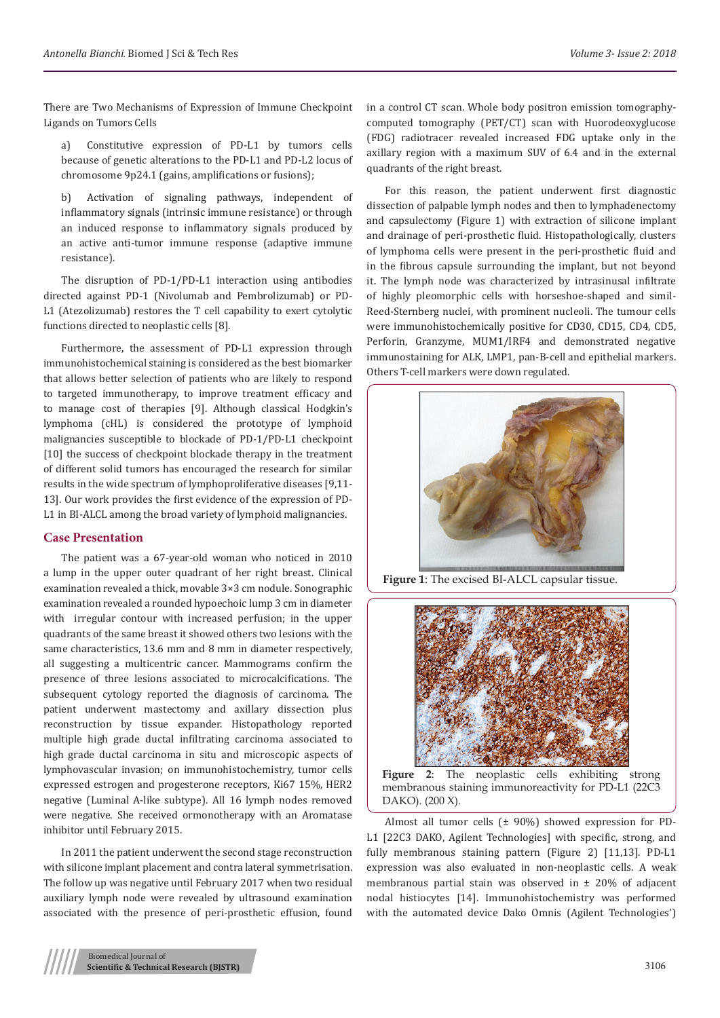There are Two Mechanisms of Expression of Immune Checkpoint Ligands on Tumors Cells

a) Constitutive expression of PD-L1 by tumors cells because of genetic alterations to the PD-L1 and PD-L2 locus of chromosome 9p24.1 (gains, amplifications or fusions);

b) Activation of signaling pathways, independent of inflammatory signals (intrinsic immune resistance) or through an induced response to inflammatory signals produced by an active anti-tumor immune response (adaptive immune resistance).

The disruption of PD-1/PD-L1 interaction using antibodies directed against PD-1 (Nivolumab and Pembrolizumab) or PD-L1 (Atezolizumab) restores the T cell capability to exert cytolytic functions directed to neoplastic cells [8].

Furthermore, the assessment of PD-L1 expression through immunohistochemical staining is considered as the best biomarker that allows better selection of patients who are likely to respond to targeted immunotherapy, to improve treatment efficacy and to manage cost of therapies [9]. Although classical Hodgkin's lymphoma (cHL) is considered the prototype of lymphoid malignancies susceptible to blockade of PD-1/PD-L1 checkpoint [10] the success of checkpoint blockade therapy in the treatment of different solid tumors has encouraged the research for similar results in the wide spectrum of lymphoproliferative diseases [9,11- 13]. Our work provides the first evidence of the expression of PD-L1 in BI-ALCL among the broad variety of lymphoid malignancies.

## **Case Presentation**

The patient was a 67-year-old woman who noticed in 2010 a lump in the upper outer quadrant of her right breast. Clinical examination revealed a thick, movable 3×3 cm nodule. Sonographic examination revealed a rounded hypoechoic lump 3 cm in diameter with irregular contour with increased perfusion; in the upper quadrants of the same breast it showed others two lesions with the same characteristics, 13.6 mm and 8 mm in diameter respectively, all suggesting a multicentric cancer. Mammograms confirm the presence of three lesions associated to microcalcifications. The subsequent cytology reported the diagnosis of carcinoma. The patient underwent mastectomy and axillary dissection plus reconstruction by tissue expander. Histopathology reported multiple high grade ductal infiltrating carcinoma associated to high grade ductal carcinoma in situ and microscopic aspects of lymphovascular invasion; on immunohistochemistry, tumor cells expressed estrogen and progesterone receptors, Ki67 15%, HER2 negative (Luminal A-like subtype). All 16 lymph nodes removed were negative. She received ormonotherapy with an Aromatase inhibitor until February 2015.

In 2011 the patient underwent the second stage reconstruction with silicone implant placement and contra lateral symmetrisation. The follow up was negative until February 2017 when two residual auxiliary lymph node were revealed by ultrasound examination associated with the presence of peri-prosthetic effusion, found

in a control CT scan. Whole body positron emission tomographycomputed tomography (PET/CT) scan with Huorodeoxyglucose (FDG) radiotracer revealed increased FDG uptake only in the axillary region with a maximum SUV of 6.4 and in the external quadrants of the right breast.

For this reason, the patient underwent first diagnostic dissection of palpable lymph nodes and then to lymphadenectomy and capsulectomy (Figure 1) with extraction of silicone implant and drainage of peri-prosthetic fluid. Histopathologically, clusters of lymphoma cells were present in the peri-prosthetic fluid and in the fibrous capsule surrounding the implant, but not beyond it. The lymph node was characterized by intrasinusal infiltrate of highly pleomorphic cells with horseshoe-shaped and simil-Reed-Sternberg nuclei, with prominent nucleoli. The tumour cells were immunohistochemically positive for CD30, CD15, CD4, CD5, Perforin, Granzyme, MUM1/IRF4 and demonstrated negative immunostaining for ALK, LMP1, pan-B-cell and epithelial markers. Others T-cell markers were down regulated.



**Figure 1**: The excised BI-ALCL capsular tissue.



![](_page_1_Figure_15.jpeg)

Almost all tumor cells (± 90%) showed expression for PD-L1 [22C3 DAKO, Agilent Technologies] with specific, strong, and fully membranous staining pattern (Figure 2) [11,13]. PD-L1 expression was also evaluated in non-neoplastic cells. A weak membranous partial stain was observed in  $\pm$  20% of adjacent nodal histiocytes [14]. Immunohistochemistry was performed with the automated device Dako Omnis (Agilent Technologies')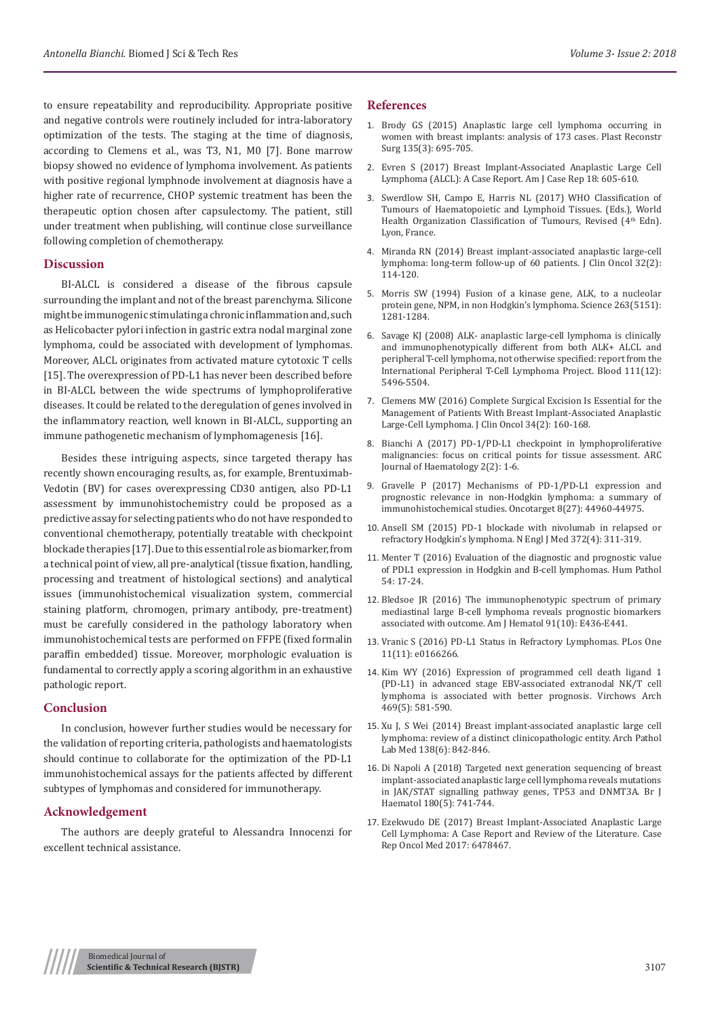to ensure repeatability and reproducibility. Appropriate positive and negative controls were routinely included for intra-laboratory optimization of the tests. The staging at the time of diagnosis, according to Clemens et al., was T3, N1, M0 [7]. Bone marrow biopsy showed no evidence of lymphoma involvement. As patients with positive regional lymphnode involvement at diagnosis have a higher rate of recurrence, CHOP systemic treatment has been the therapeutic option chosen after capsulectomy. The patient, still under treatment when publishing, will continue close surveillance following completion of chemotherapy.

#### **Discussion**

BI-ALCL is considered a disease of the fibrous capsule surrounding the implant and not of the breast parenchyma. Silicone might be immunogenic stimulating a chronic inflammation and, such as Helicobacter pylori infection in gastric extra nodal marginal zone lymphoma, could be associated with development of lymphomas. Moreover, ALCL originates from activated mature cytotoxic T cells [15]. The overexpression of PD-L1 has never been described before in BI-ALCL between the wide spectrums of lymphoproliferative diseases. It could be related to the deregulation of genes involved in the inflammatory reaction, well known in BI-ALCL, supporting an immune pathogenetic mechanism of lymphomagenesis [16].

Besides these intriguing aspects, since targeted therapy has recently shown encouraging results, as, for example, Brentuximab-Vedotin (BV) for cases overexpressing CD30 antigen, also PD-L1 assessment by immunohistochemistry could be proposed as a predictive assay for selecting patients who do not have responded to conventional chemotherapy, potentially treatable with checkpoint blockade therapies [17]. Due to this essential role as biomarker, from a technical point of view, all pre-analytical (tissue fixation, handling, processing and treatment of histological sections) and analytical issues (immunohistochemical visualization system, commercial staining platform, chromogen, primary antibody, pre-treatment) must be carefully considered in the pathology laboratory when immunohistochemical tests are performed on FFPE (fixed formalin paraffin embedded) tissue. Moreover, morphologic evaluation is fundamental to correctly apply a scoring algorithm in an exhaustive pathologic report.

#### **Conclusion**

In conclusion, however further studies would be necessary for the validation of reporting criteria, pathologists and haematologists should continue to collaborate for the optimization of the PD-L1 immunohistochemical assays for the patients affected by different subtypes of lymphomas and considered for immunotherapy.

## **Acknowledgement**

The authors are deeply grateful to Alessandra Innocenzi for excellent technical assistance.

#### **References**

- 1. [Brody GS \(2015\) Anaplastic large cell lymphoma occurring in](https://www.ncbi.nlm.nih.gov/pubmed/25490535)  [women with breast implants: analysis of 173 cases. Plast Reconstr](https://www.ncbi.nlm.nih.gov/pubmed/25490535)  [Surg 135\(3\): 695-705.](https://www.ncbi.nlm.nih.gov/pubmed/25490535)
- 2. [Evren S \(2017\) Breast Implant-Associated Anaplastic Large Cell](https://www.hindawi.com/journals/crihem/2018/2414278/)  [Lymphoma \(ALCL\): A Case Report. Am J Case Rep 18: 605-610.](https://www.hindawi.com/journals/crihem/2018/2414278/)
- 3. Swerdlow SH, Campo E, Harris NL (2017) WHO Classification of Tumours of Haematopoietic and Lymphoid Tissues. (Eds.), World Health Organization Classification of Tumours, Revised (4<sup>th</sup> Edn). Lyon, France.
- 4. [Miranda RN \(2014\) Breast implant-associated anaplastic large-cell](https://www.ncbi.nlm.nih.gov/pubmed/24323027)  [lymphoma: long-term follow-up of 60 patients. J Clin Oncol 32\(2\):](https://www.ncbi.nlm.nih.gov/pubmed/24323027)  [114-120.](https://www.ncbi.nlm.nih.gov/pubmed/24323027)
- 5. [Morris SW \(1994\) Fusion of a kinase gene, ALK, to a nucleolar](https://www.ncbi.nlm.nih.gov/pubmed/8122112)  [protein gene, NPM, in non Hodgkin's lymphoma. Science 263\(5151\):](https://www.ncbi.nlm.nih.gov/pubmed/8122112)  [1281-1284.](https://www.ncbi.nlm.nih.gov/pubmed/8122112)
- 6. [Savage KJ \(2008\) ALK- anaplastic large-cell lymphoma is clinically](https://www.ncbi.nlm.nih.gov/pubmed/18385450)  [and immunophenotypically different from both ALK+ ALCL and](https://www.ncbi.nlm.nih.gov/pubmed/18385450)  [peripheral T-cell lymphoma, not otherwise specified: report from the](https://www.ncbi.nlm.nih.gov/pubmed/18385450)  [International Peripheral T-Cell Lymphoma Project. Blood 111\(12\):](https://www.ncbi.nlm.nih.gov/pubmed/18385450)  [5496-5504.](https://www.ncbi.nlm.nih.gov/pubmed/18385450)
- 7. [Clemens MW \(2016\) Complete Surgical Excision Is Essential for the](https://www.ncbi.nlm.nih.gov/pubmed/26628470)  [Management of Patients With Breast Implant-Associated Anaplastic](https://www.ncbi.nlm.nih.gov/pubmed/26628470)  [Large-Cell Lymphoma. J Clin Oncol 34\(2\): 160-168.](https://www.ncbi.nlm.nih.gov/pubmed/26628470)
- 8. [Bianchi A \(2017\) PD-1/PD-L1 checkpoint in lymphoproliferative](https://www.arcjournals.org/pdfs/ajh/v2-i2/1.pdf)  [malignancies: focus on critical points for tissue assessment. ARC](https://www.arcjournals.org/pdfs/ajh/v2-i2/1.pdf)  [Journal of Haematology 2\(2\): 1-6.](https://www.arcjournals.org/pdfs/ajh/v2-i2/1.pdf)
- 9. [Gravelle P \(2017\) Mechanisms of PD-1/PD-L1 expression and](https://www.ncbi.nlm.nih.gov/pubmed/28402953)  [prognostic relevance in non-Hodgkin lymphoma: a summary of](https://www.ncbi.nlm.nih.gov/pubmed/28402953)  [immunohistochemical studies. Oncotarget 8\(27\): 44960-44975.](https://www.ncbi.nlm.nih.gov/pubmed/28402953)
- 10. [Ansell SM \(2015\) PD-1 blockade with nivolumab in relapsed or](http://www.nejm.org/doi/full/10.1056/NEJMoa1411087)  [refractory Hodgkin's lymphoma. N Engl J Med 372\(4\): 311-319.](http://www.nejm.org/doi/full/10.1056/NEJMoa1411087)
- 11. [Menter T \(2016\) Evaluation of the diagnostic and prognostic value](https://www.ncbi.nlm.nih.gov/pubmed/27045512)  [of PDL1 expression in Hodgkin and B-cell lymphomas. Hum Pathol](https://www.ncbi.nlm.nih.gov/pubmed/27045512)  [54: 17-24.](https://www.ncbi.nlm.nih.gov/pubmed/27045512)
- 12. [Bledsoe JR \(2016\) The immunophenotypic spectrum of primary](http://onlinelibrary.wiley.com/doi/10.1002/ajh.24485/abstract)  [mediastinal large B-cell lymphoma reveals prognostic biomarkers](http://onlinelibrary.wiley.com/doi/10.1002/ajh.24485/abstract)  [associated with outcome. Am J Hematol 91\(10\): E436-E441.](http://onlinelibrary.wiley.com/doi/10.1002/ajh.24485/abstract)
- 13. [Vranic S \(2016\) PD-L1 Status in Refractory Lymphomas. PLos One](https://www.ncbi.nlm.nih.gov/pubmed/27861596)  [11\(11\): e0166266.](https://www.ncbi.nlm.nih.gov/pubmed/27861596)
- 14. [Kim WY \(2016\) Expression of programmed cell death ligand 1](https://www.ncbi.nlm.nih.gov/pubmed/27595782)  [\(PD-L1\) in advanced stage EBV-associated extranodal NK/T cell](https://www.ncbi.nlm.nih.gov/pubmed/27595782)  [lymphoma is associated with better prognosis. Virchows Arch](https://www.ncbi.nlm.nih.gov/pubmed/27595782)  [469\(5\): 581-590.](https://www.ncbi.nlm.nih.gov/pubmed/27595782)
- 15. [Xu J, S Wei \(2014\) Breast implant-associated anaplastic large cell](https://www.ncbi.nlm.nih.gov/pubmed/24878027)  [lymphoma: review of a distinct clinicopathologic entity. Arch Pathol](https://www.ncbi.nlm.nih.gov/pubmed/24878027)  [Lab Med 138\(6\): 842-846.](https://www.ncbi.nlm.nih.gov/pubmed/24878027)
- 16. [Di Napoli A \(2018\) Targeted next generation sequencing of breast](https://www.ncbi.nlm.nih.gov/pubmed/27859003)  [implant-associated anaplastic large cell lymphoma reveals mutations](https://www.ncbi.nlm.nih.gov/pubmed/27859003)  [in JAK/STAT signalling pathway genes, TP53 and DNMT3A. Br J](https://www.ncbi.nlm.nih.gov/pubmed/27859003)  [Haematol 180\(5\): 741-744.](https://www.ncbi.nlm.nih.gov/pubmed/27859003)
- 17. [Ezekwudo DE \(2017\) Breast Implant-Associated Anaplastic Large](https://www.hindawi.com/journals/crionm/2017/6478467/)  [Cell Lymphoma: A Case Report and Review of the Literature. Case](https://www.hindawi.com/journals/crionm/2017/6478467/)  [Rep Oncol Med 2017: 6478467.](https://www.hindawi.com/journals/crionm/2017/6478467/)